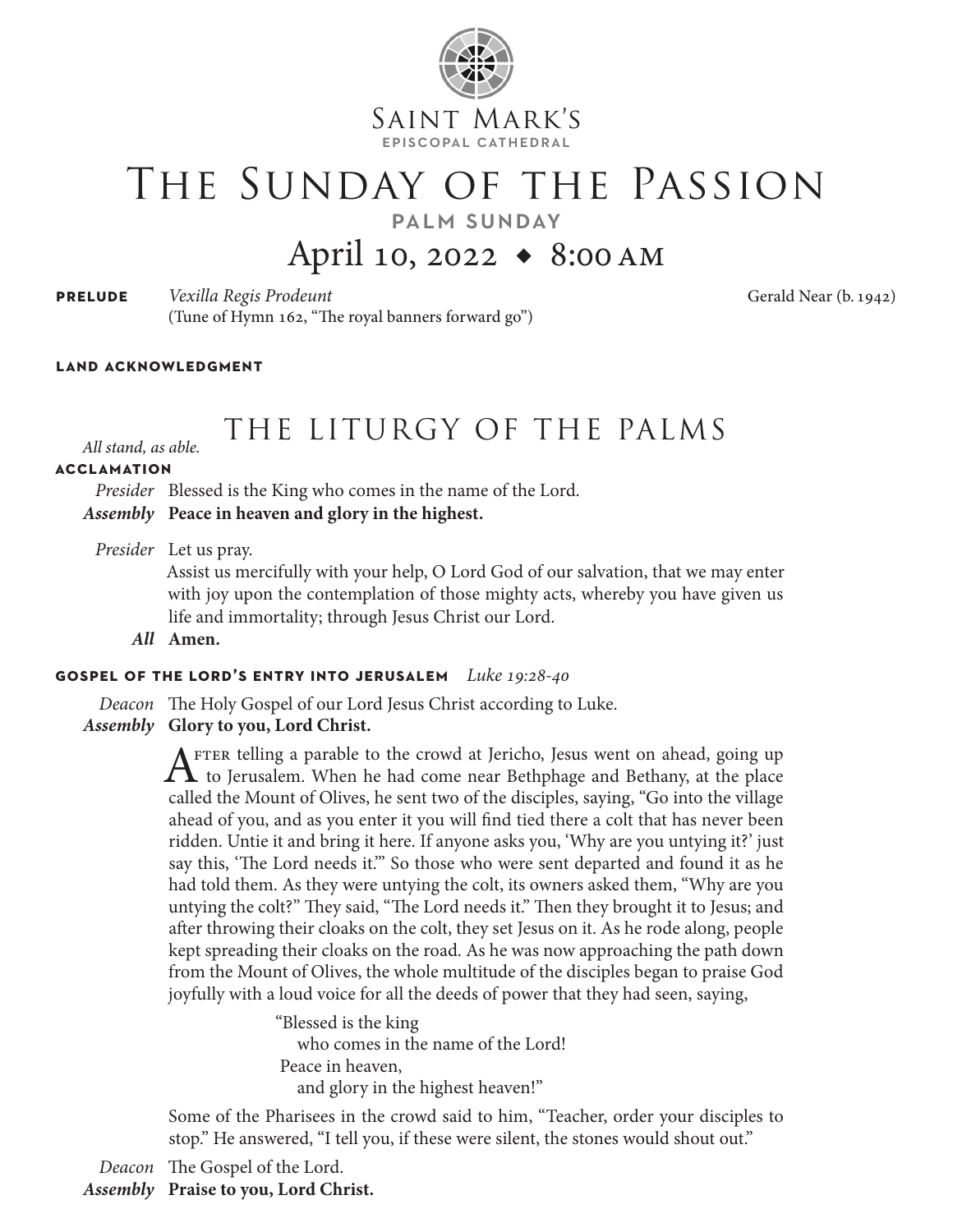

Saint Mark's episcopal cathedral

# The Sunday of the Passion

palm sunday

## April 10, 2022 *◆* 8:00am

| <b>PRELUDE</b> | Vexilla Regis Prodeunt                             |  |
|----------------|----------------------------------------------------|--|
|                | (Tune of Hymn 162, "The royal banners forward go") |  |

**prelude** *Vexilla Regis Prodeunt* Gerald Near (b. 1942)

#### **land acknowledgment**

## THE LITURGY OF THE PALMS *All stand, as able.*

**acclamation**

*Presider* Blessed is the King who comes in the name of the Lord. *Assembly* **Peace in heaven and glory in the highest.**

*Presider* Let us pray.

Assist us mercifully with your help, O Lord God of our salvation, that we may enter with joy upon the contemplation of those mighty acts, whereby you have given us life and immortality; through Jesus Christ our Lord.

*All* **Amen.**

#### **gospel of the lord's entry into jerusalem** *Luke 19:28-40*

*Deacon* The Holy Gospel of our Lord Jesus Christ according to Luke.

*Assembly* **Glory to you, Lord Christ.**

 $A$ <sup>FTER telling a parable to the crowd at Jericho, Jesus went on ahead, going up<br>to Jerusalem. When he had come near Bethphage and Bethany, at the place</sup> called the Mount of Olives, he sent two of the disciples, saying, "Go into the village ahead of you, and as you enter it you will find tied there a colt that has never been ridden. Untie it and bring it here. If anyone asks you, 'Why are you untying it?' just say this, 'The Lord needs it.'" So those who were sent departed and found it as he had told them. As they were untying the colt, its owners asked them, "Why are you untying the colt?" They said, "The Lord needs it." Then they brought it to Jesus; and after throwing their cloaks on the colt, they set Jesus on it. As he rode along, people kept spreading their cloaks on the road. As he was now approaching the path down from the Mount of Olives, the whole multitude of the disciples began to praise God joyfully with a loud voice for all the deeds of power that they had seen, saying,

> "Blessed is the king who comes in the name of the Lord! Peace in heaven, and glory in the highest heaven!"

Some of the Pharisees in the crowd said to him, "Teacher, order your disciples to stop." He answered, "I tell you, if these were silent, the stones would shout out."

*Deacon* The Gospel of the Lord.

*Assembly* **Praise to you, Lord Christ.**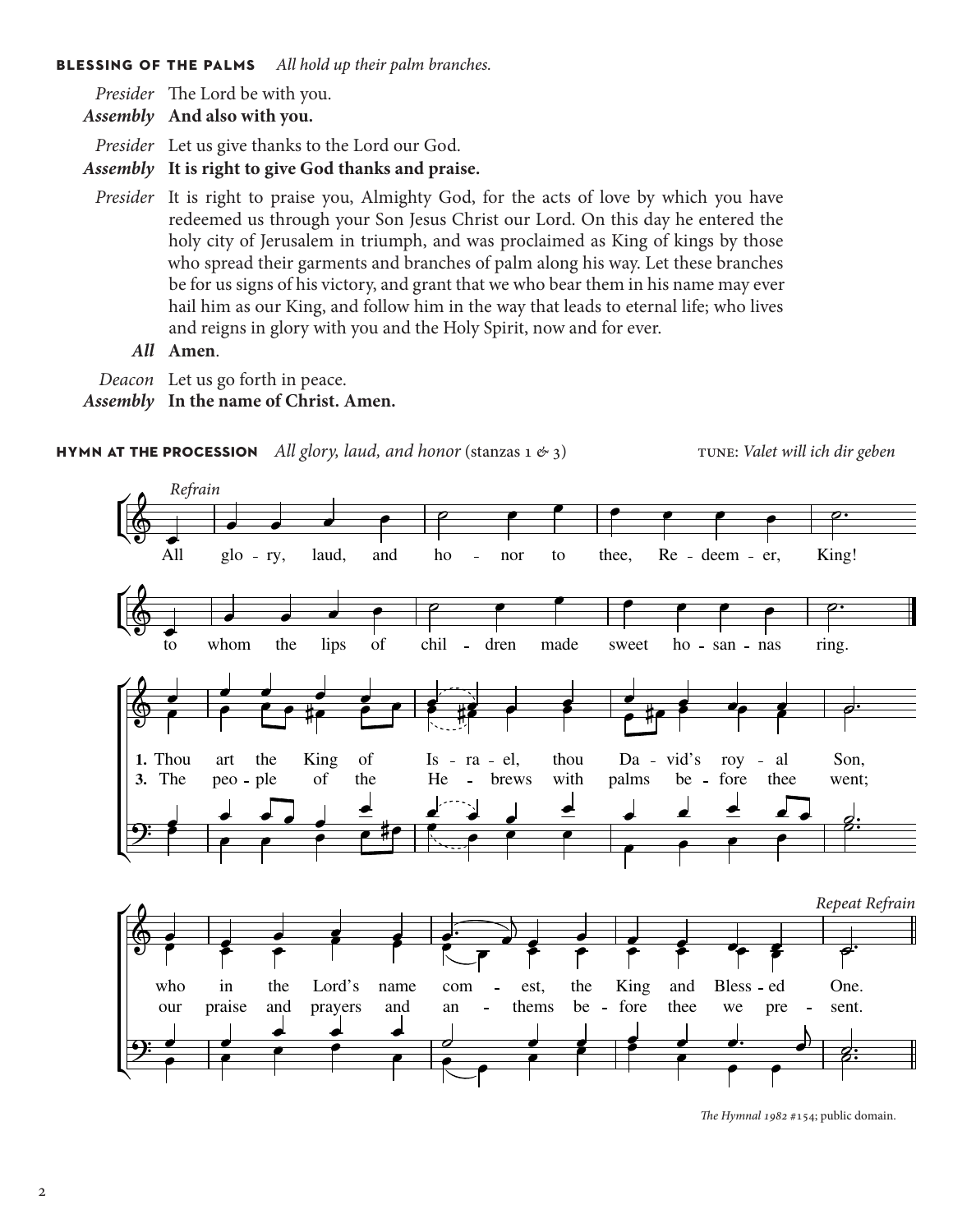#### **blessing of the palms** *All hold up their palm branches.*

*Presider* The Lord be with you.

*Assembly* **And also with you.**

*Presider* Let us give thanks to the Lord our God.

*Assembly* **It is right to give God thanks and praise.**

*Presider* It is right to praise you, Almighty God, for the acts of love by which you have redeemed us through your Son Jesus Christ our Lord. On this day he entered the holy city of Jerusalem in triumph, and was proclaimed as King of kings by those who spread their garments and branches of palm along his way. Let these branches be for us signs of his victory, and grant that we who bear them in his name may ever hail him as our King, and follow him in the way that leads to eternal life; who lives and reigns in glory with you and the Holy Spirit, now and for ever.

*All* **Amen**.

*Deacon* Let us go forth in peace.

*Assembly* **In the name of Christ. Amen.**

#### **hymn at the procession** *All glory, laud, and honor* (stanzas 1  $\&$  3) tune: *Valet will ich dir geben*



*The Hymnal 1982* #154; public domain.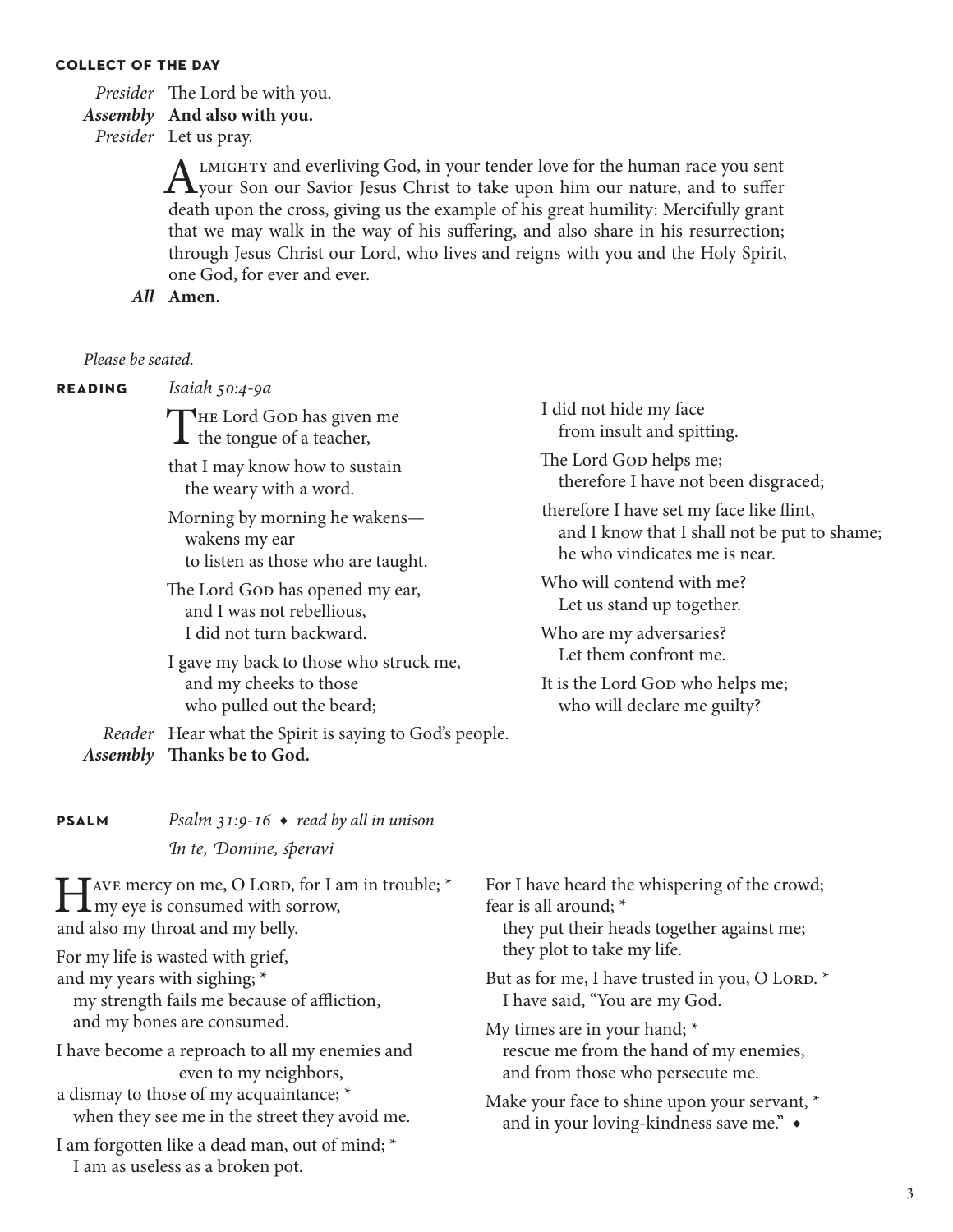#### **collect of the day**

*Presider* The Lord be with you.

### *Assembly* **And also with you.**

*Presider* Let us pray.

ALMIGHTY and everliving God, in your tender love for the human race you sent<br>
your Son our Savior Jesus Christ to take upon him our nature, and to suffer death upon the cross, giving us the example of his great humility: Mercifully grant that we may walk in the way of his suffering, and also share in his resurrection; through Jesus Christ our Lord, who lives and reigns with you and the Holy Spirit, one God, for ever and ever.

*All* **Amen.**

#### *Please be seated.*

**reading** *Isaiah 50:4-9a*

THE Lord God has given me  $\perp$  the tongue of a teacher,

that I may know how to sustain the weary with a word.

Morning by morning he wakens wakens my ear to listen as those who are taught.

The Lord Gop has opened my ear, and I was not rebellious, I did not turn backward.

I gave my back to those who struck me, and my cheeks to those who pulled out the beard;

*Reader* Hear what the Spirit is saying to God's people. *Assembly* **Thanks be to God.**

I did not hide my face from insult and spitting.

The Lord Gop helps me; therefore I have not been disgraced;

therefore I have set my face like flint, and I know that I shall not be put to shame; he who vindicates me is near.

Who will contend with me? Let us stand up together.

Who are my adversaries? Let them confront me.

It is the Lord God who helps me; who will declare me guilty?

| <b>PSALM</b> | Psalm 31:9-16 $\bullet$ read by all in unison |
|--------------|-----------------------------------------------|
|              | In te, Domine, speravi                        |

Have mercy on me, O LORD, for I am in trouble; \*<br>my eye is consumed with sorrow, and also my throat and my belly.

For my life is wasted with grief,

and my years with sighing; \*

 my strength fails me because of affliction, and my bones are consumed.

I have become a reproach to all my enemies and even to my neighbors,

a dismay to those of my acquaintance; \* when they see me in the street they avoid me.

I am forgotten like a dead man, out of mind; \* I am as useless as a broken pot.

For I have heard the whispering of the crowd; fear is all around; \*

 they put their heads together against me; they plot to take my life.

But as for me, I have trusted in you, O LORD.  $*$ I have said, "You are my God.

My times are in your hand; \* rescue me from the hand of my enemies, and from those who persecute me.

Make your face to shine upon your servant, \* and in your loving-kindness save me." *◆*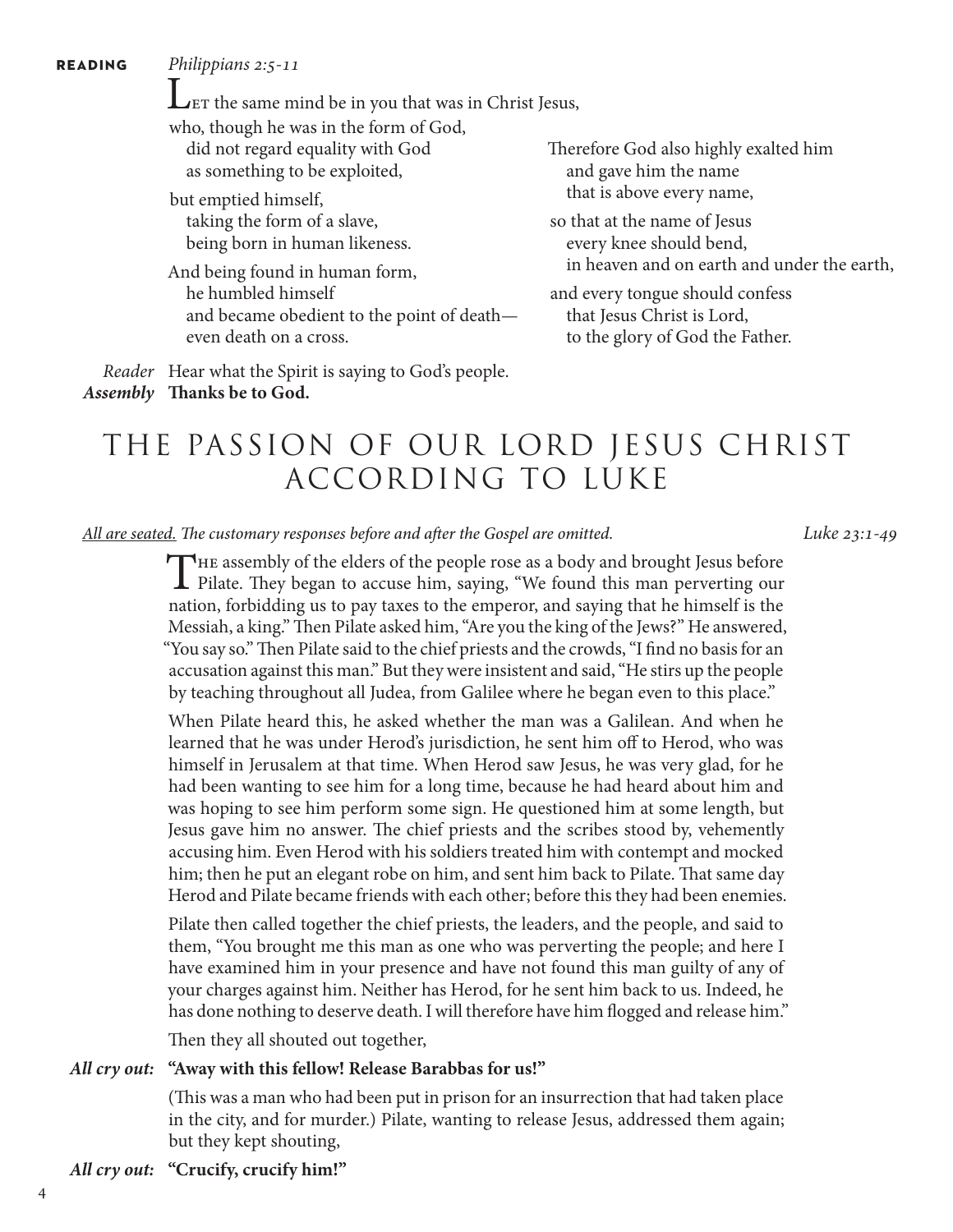**reading** *Philippians 2:5-11*

LET the same mind be in you that was in Christ Jesus,

who, though he was in the form of God, did not regard equality with God as something to be exploited,

but emptied himself, taking the form of a slave, being born in human likeness.

And being found in human form, he humbled himself and became obedient to the point of death even death on a cross.

Therefore God also highly exalted him and gave him the name that is above every name,

so that at the name of Jesus every knee should bend, in heaven and on earth and under the earth,

and every tongue should confess that Jesus Christ is Lord, to the glory of God the Father.

*Reader* Hear what the Spirit is saying to God's people. *Assembly* **Thanks be to God.**

## THE PASSION OF OUR LORD JESUS CHRIST ACCORDING TO LUKE

*All are seated. The customary responses before and after the Gospel are omitted. Luke 23:1-49*

THE assembly of the elders of the people rose as a body and brought Jesus before<br>Pilate. They began to accuse him, saying, "We found this man perverting our<br>matical formula is a probably proposed as in the binary limit nation, forbidding us to pay taxes to the emperor, and saying that he himself is the Messiah, a king." Then Pilate asked him, "Are you the king of the Jews?" He answered, "You say so." Then Pilate said to the chief priests and the crowds, "I find no basis for an accusation against this man." But they were insistent and said, "He stirs up the people by teaching throughout all Judea, from Galilee where he began even to this place."

 When Pilate heard this, he asked whether the man was a Galilean. And when he learned that he was under Herod's jurisdiction, he sent him off to Herod, who was himself in Jerusalem at that time. When Herod saw Jesus, he was very glad, for he had been wanting to see him for a long time, because he had heard about him and was hoping to see him perform some sign. He questioned him at some length, but Jesus gave him no answer. The chief priests and the scribes stood by, vehemently accusing him. Even Herod with his soldiers treated him with contempt and mocked him; then he put an elegant robe on him, and sent him back to Pilate. That same day Herod and Pilate became friends with each other; before this they had been enemies.

Pilate then called together the chief priests, the leaders, and the people, and said to them, "You brought me this man as one who was perverting the people; and here I have examined him in your presence and have not found this man guilty of any of your charges against him. Neither has Herod, for he sent him back to us. Indeed, he has done nothing to deserve death. I will therefore have him flogged and release him."

Then they all shouted out together,

#### *All cry out:* **"Away with this fellow! Release Barabbas for us!"**

(This was a man who had been put in prison for an insurrection that had taken place in the city, and for murder.) Pilate, wanting to release Jesus, addressed them again; but they kept shouting,

#### *All cry out:* **"Crucify, crucify him!"**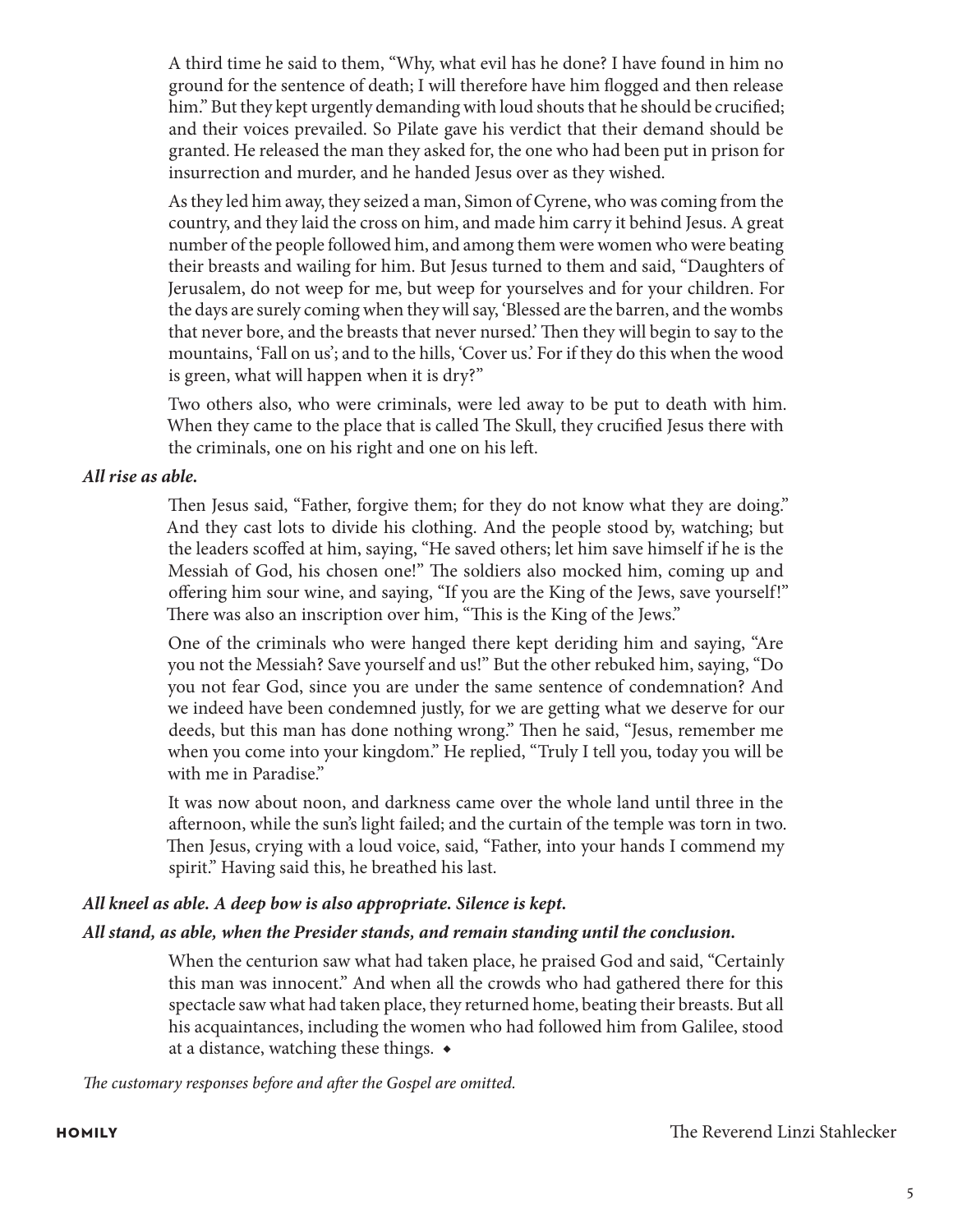A third time he said to them, "Why, what evil has he done? I have found in him no ground for the sentence of death; I will therefore have him flogged and then release him." But they kept urgently demanding with loud shouts that he should be crucified; and their voices prevailed. So Pilate gave his verdict that their demand should be granted. He released the man they asked for, the one who had been put in prison for insurrection and murder, and he handed Jesus over as they wished.

As they led him away, they seized a man, Simon of Cyrene, who was coming from the country, and they laid the cross on him, and made him carry it behind Jesus. A great number of the people followed him, and among them were women who were beating their breasts and wailing for him. But Jesus turned to them and said, "Daughters of Jerusalem, do not weep for me, but weep for yourselves and for your children. For the days are surely coming when they will say, 'Blessed are the barren, and the wombs that never bore, and the breasts that never nursed.' Then they will begin to say to the mountains, 'Fall on us'; and to the hills, 'Cover us.' For if they do this when the wood is green, what will happen when it is dry?"

 Two others also, who were criminals, were led away to be put to death with him. When they came to the place that is called The Skull, they crucified Jesus there with the criminals, one on his right and one on his left.

#### *All rise as able.*

 Then Jesus said, "Father, forgive them; for they do not know what they are doing." And they cast lots to divide his clothing. And the people stood by, watching; but the leaders scoffed at him, saying, "He saved others; let him save himself if he is the Messiah of God, his chosen one!" The soldiers also mocked him, coming up and offering him sour wine, and saying, "If you are the King of the Jews, save yourself!" There was also an inscription over him, "This is the King of the Jews."

 One of the criminals who were hanged there kept deriding him and saying, "Are you not the Messiah? Save yourself and us!" But the other rebuked him, saying, "Do you not fear God, since you are under the same sentence of condemnation? And we indeed have been condemned justly, for we are getting what we deserve for our deeds, but this man has done nothing wrong." Then he said, "Jesus, remember me when you come into your kingdom." He replied, "Truly I tell you, today you will be with me in Paradise."

 It was now about noon, and darkness came over the whole land until three in the afternoon, while the sun's light failed; and the curtain of the temple was torn in two. Then Jesus, crying with a loud voice, said, "Father, into your hands I commend my spirit." Having said this, he breathed his last.

### *All kneel as able. A deep bow is also appropriate. Silence is kept.*

### *All stand, as able, when the Presider stands, and remain standing until the conclusion.*

When the centurion saw what had taken place, he praised God and said, "Certainly this man was innocent." And when all the crowds who had gathered there for this spectacle saw what had taken place, they returned home, beating their breasts. But all his acquaintances, including the women who had followed him from Galilee, stood at a distance, watching these things. *◆*

*The customary responses before and after the Gospel are omitted.*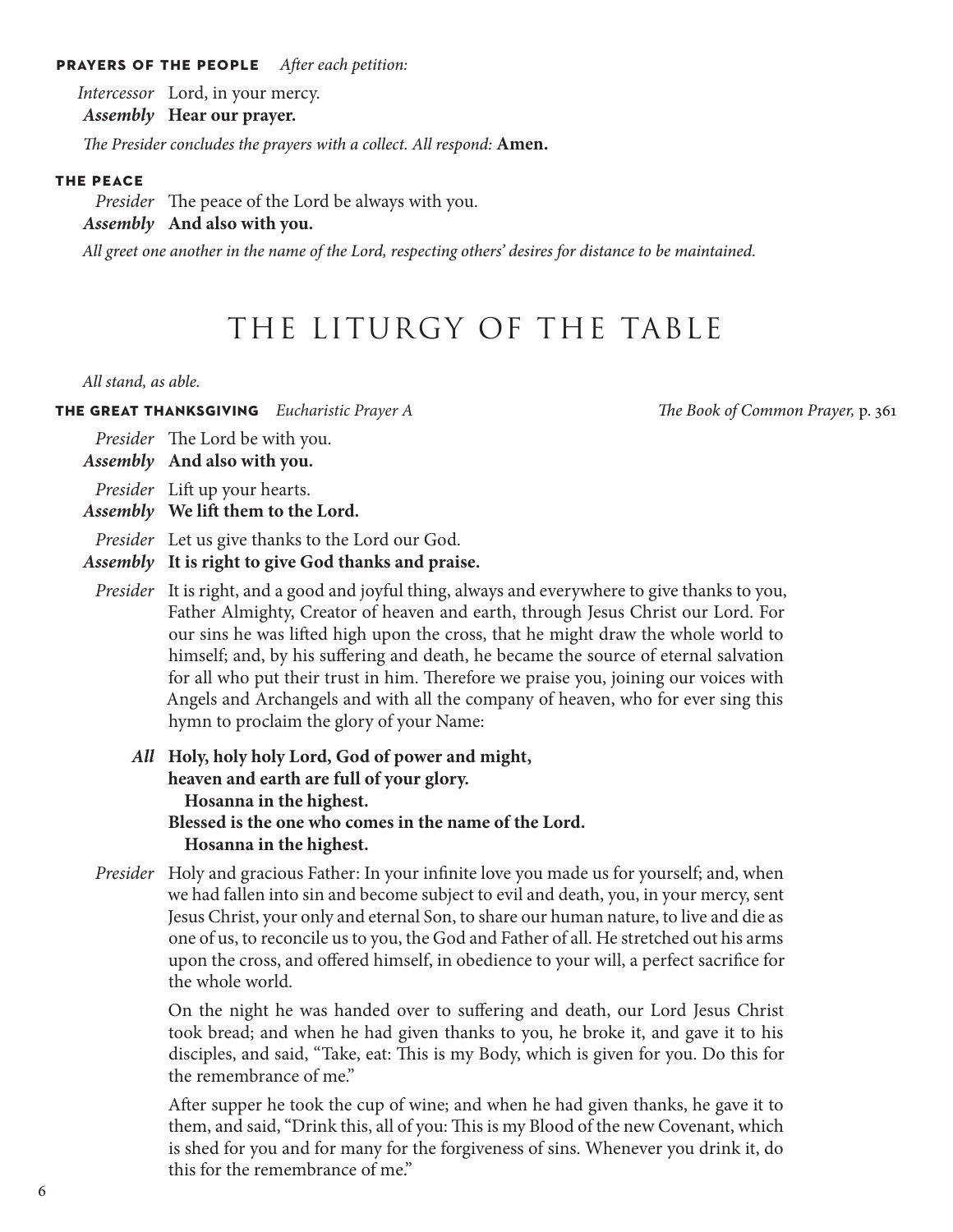#### **prayers of the people** *After each petition:*

*Intercessor* Lord, in your mercy.

*Assembly* **Hear our prayer.**

*The Presider concludes the prayers with a collect. All respond:* **Amen.**

#### **the peace**

*Presider* The peace of the Lord be always with you. *Assembly* **And also with you.**

*All greet one another in the name of the Lord, respecting others' desires for distance to be maintained.*

## THE LITURGY OF THE TABLE

*All stand, as able.* 

**the great thanksgiving** *Eucharistic Prayer A The Book of Common Prayer,* p. 361

*Presider* The Lord be with you.

*Assembly* **And also with you.**

*Presider* Lift up your hearts.

*Assembly* **We lift them to the Lord.**

*Presider* Let us give thanks to the Lord our God.

*Assembly* **It is right to give God thanks and praise.**

- *Presider* It is right, and a good and joyful thing, always and everywhere to give thanks to you, Father Almighty, Creator of heaven and earth, through Jesus Christ our Lord. For our sins he was lifted high upon the cross, that he might draw the whole world to himself; and, by his suffering and death, he became the source of eternal salvation for all who put their trust in him. Therefore we praise you, joining our voices with Angels and Archangels and with all the company of heaven, who for ever sing this hymn to proclaim the glory of your Name:
	- *All* **Holy, holy holy Lord, God of power and might, heaven and earth are full of your glory. Hosanna in the highest. Blessed is the one who comes in the name of the Lord. Hosanna in the highest.**
- *Presider* Holy and gracious Father: In your infinite love you made us for yourself; and, when we had fallen into sin and become subject to evil and death, you, in your mercy, sent Jesus Christ, your only and eternal Son, to share our human nature, to live and die as one of us, to reconcile us to you, the God and Father of all. He stretched out his arms upon the cross, and offered himself, in obedience to your will, a perfect sacrifice for the whole world.

 On the night he was handed over to suffering and death, our Lord Jesus Christ took bread; and when he had given thanks to you, he broke it, and gave it to his disciples, and said, "Take, eat: This is my Body, which is given for you. Do this for the remembrance of me."

 After supper he took the cup of wine; and when he had given thanks, he gave it to them, and said, "Drink this, all of you: This is my Blood of the new Covenant, which is shed for you and for many for the forgiveness of sins. Whenever you drink it, do this for the remembrance of me."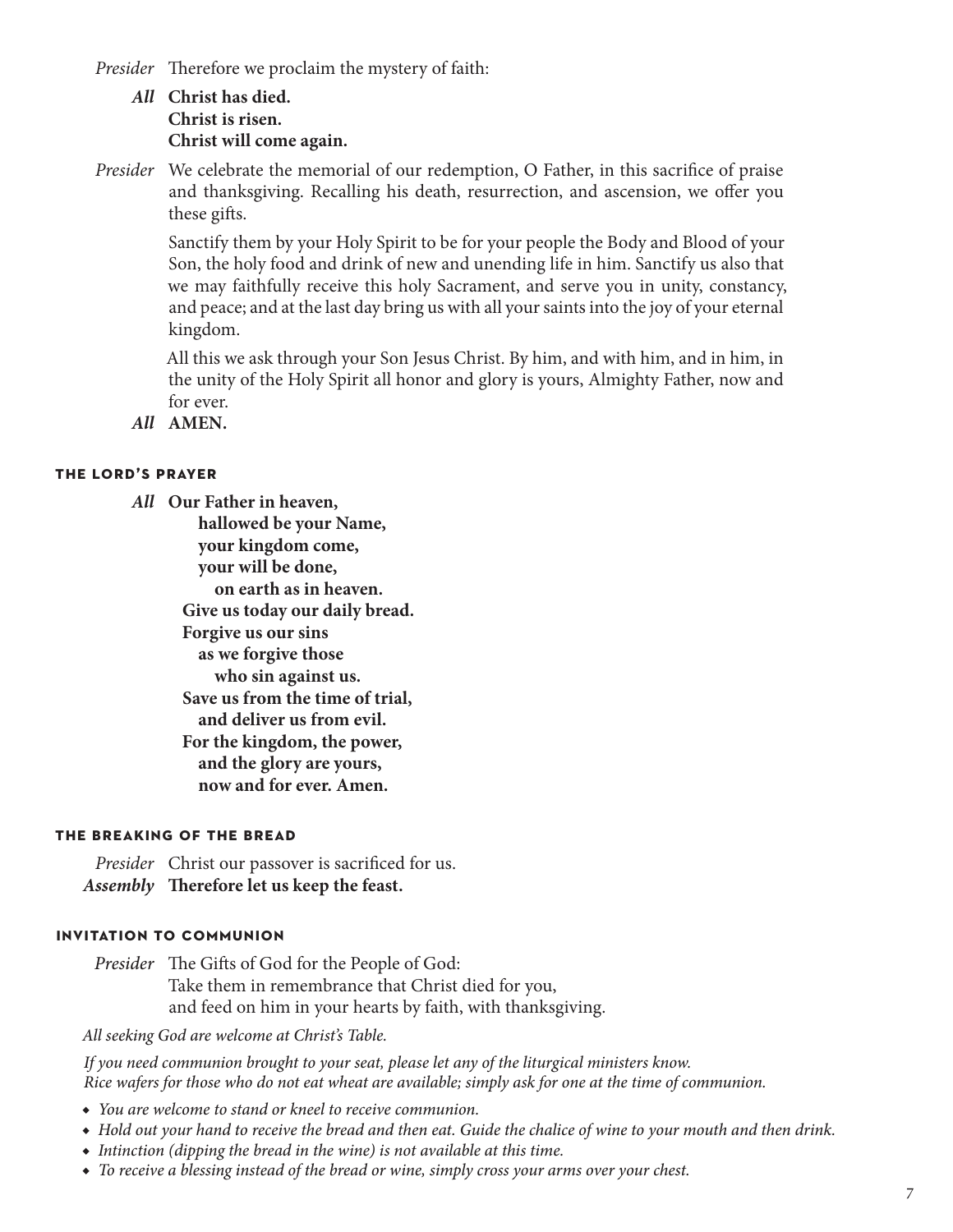*Presider* Therefore we proclaim the mystery of faith:

### *All* **Christ has died. Christ is risen. Christ will come again.**

*Presider* We celebrate the memorial of our redemption, O Father, in this sacrifice of praise and thanksgiving. Recalling his death, resurrection, and ascension, we offer you these gifts.

> Sanctify them by your Holy Spirit to be for your people the Body and Blood of your Son, the holy food and drink of new and unending life in him. Sanctify us also that we may faithfully receive this holy Sacrament, and serve you in unity, constancy, and peace; and at the last day bring us with all your saints into the joy of your eternal kingdom.

> All this we ask through your Son Jesus Christ. By him, and with him, and in him, in the unity of the Holy Spirit all honor and glory is yours, Almighty Father, now and for ever.

*All* **AMEN.**

#### **the lord's prayer**

*All* **Our Father in heaven, hallowed be your Name, your kingdom come, your will be done, on earth as in heaven. Give us today our daily bread. Forgive us our sins as we forgive those who sin against us. Save us from the time of trial, and deliver us from evil. For the kingdom, the power, and the glory are yours, now and for ever. Amen.**

#### **the breaking of the bread**

*Presider* Christ our passover is sacrificed for us. *Assembly* **Therefore let us keep the feast.**

#### **invitation to communion**

*Presider* The Gifts of God for the People of God: Take them in remembrance that Christ died for you, and feed on him in your hearts by faith, with thanksgiving.

*All seeking God are welcome at Christ's Table.*

*If you need communion brought to your seat, please let any of the liturgical ministers know. Rice wafers for those who do not eat wheat are available; simply ask for one at the time of communion.*

- ◆ *You are welcome to stand or kneel to receive communion.*
- ◆ *Hold out your hand to receive the bread and then eat. Guide the chalice of wine to your mouth and then drink.*
- ◆ *Intinction (dipping the bread in the wine) is not available at this time.*
- ◆ *To receive a blessing instead of the bread or wine, simply cross your arms over your chest.*